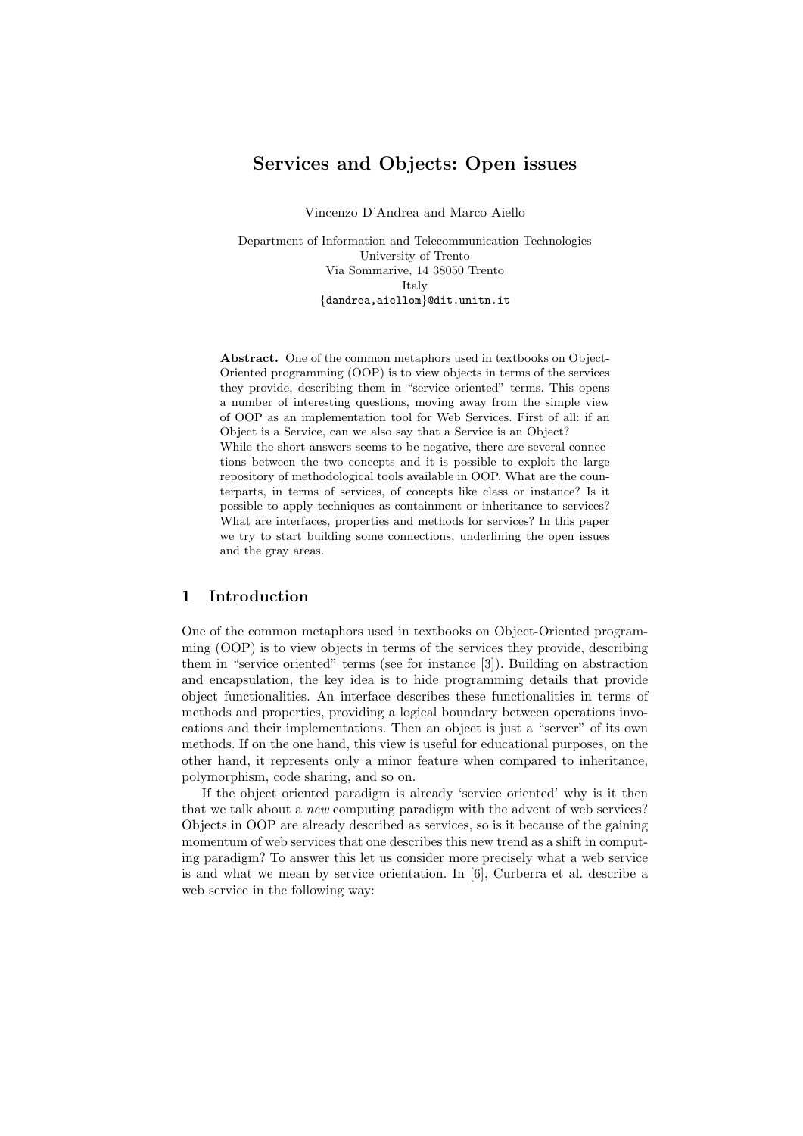# Services and Objects: Open issues

Vincenzo D'Andrea and Marco Aiello

Department of Information and Telecommunication Technologies University of Trento Via Sommarive, 14 38050 Trento Italy {dandrea,aiellom}@dit.unitn.it

Abstract. One of the common metaphors used in textbooks on Object-Oriented programming (OOP) is to view objects in terms of the services they provide, describing them in "service oriented" terms. This opens a number of interesting questions, moving away from the simple view of OOP as an implementation tool for Web Services. First of all: if an Object is a Service, can we also say that a Service is an Object? While the short answers seems to be negative, there are several connections between the two concepts and it is possible to exploit the large repository of methodological tools available in OOP. What are the counterparts, in terms of services, of concepts like class or instance? Is it possible to apply techniques as containment or inheritance to services? What are interfaces, properties and methods for services? In this paper we try to start building some connections, underlining the open issues and the gray areas.

## 1 Introduction

One of the common metaphors used in textbooks on Object-Oriented programming (OOP) is to view objects in terms of the services they provide, describing them in "service oriented" terms (see for instance [3]). Building on abstraction and encapsulation, the key idea is to hide programming details that provide object functionalities. An interface describes these functionalities in terms of methods and properties, providing a logical boundary between operations invocations and their implementations. Then an object is just a "server" of its own methods. If on the one hand, this view is useful for educational purposes, on the other hand, it represents only a minor feature when compared to inheritance, polymorphism, code sharing, and so on.

If the object oriented paradigm is already 'service oriented' why is it then that we talk about a new computing paradigm with the advent of web services? Objects in OOP are already described as services, so is it because of the gaining momentum of web services that one describes this new trend as a shift in computing paradigm? To answer this let us consider more precisely what a web service is and what we mean by service orientation. In [6], Curberra et al. describe a web service in the following way: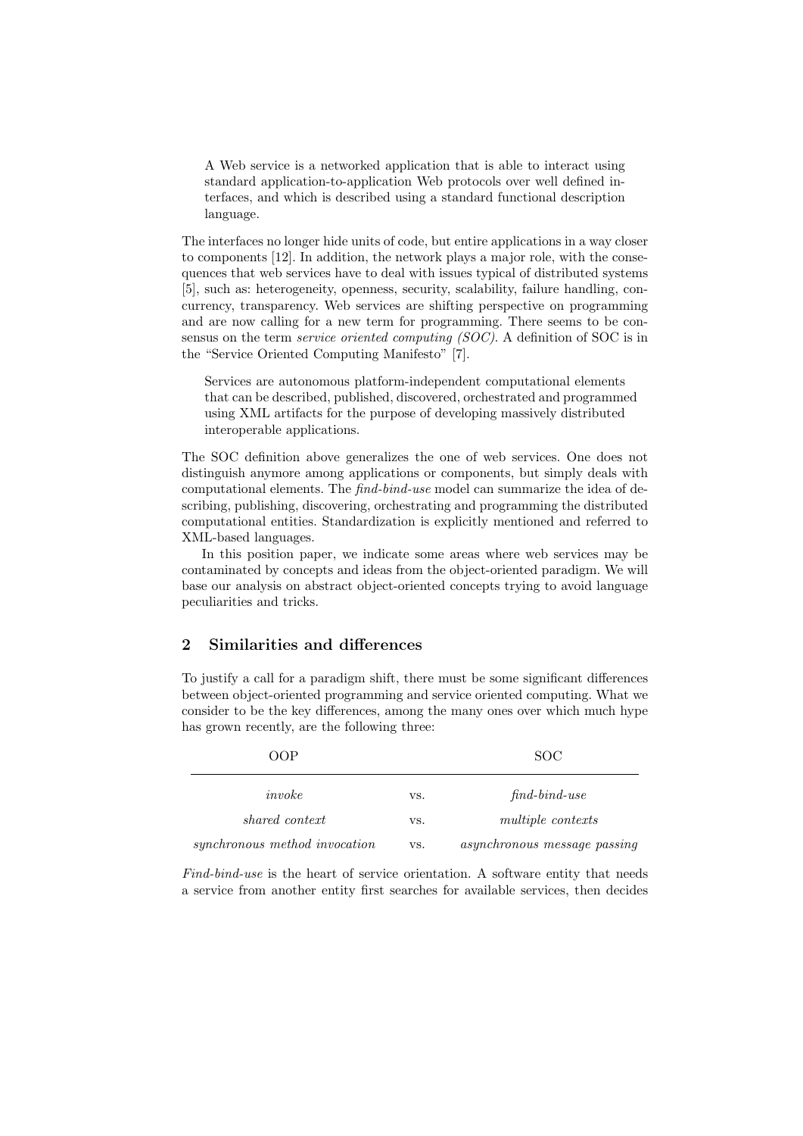A Web service is a networked application that is able to interact using standard application-to-application Web protocols over well defined interfaces, and which is described using a standard functional description language.

The interfaces no longer hide units of code, but entire applications in a way closer to components [12]. In addition, the network plays a major role, with the consequences that web services have to deal with issues typical of distributed systems [5], such as: heterogeneity, openness, security, scalability, failure handling, concurrency, transparency. Web services are shifting perspective on programming and are now calling for a new term for programming. There seems to be consensus on the term service oriented computing (SOC). A definition of SOC is in the "Service Oriented Computing Manifesto" [7].

Services are autonomous platform-independent computational elements that can be described, published, discovered, orchestrated and programmed using XML artifacts for the purpose of developing massively distributed interoperable applications.

The SOC definition above generalizes the one of web services. One does not distinguish anymore among applications or components, but simply deals with computational elements. The find-bind-use model can summarize the idea of describing, publishing, discovering, orchestrating and programming the distributed computational entities. Standardization is explicitly mentioned and referred to XML-based languages.

In this position paper, we indicate some areas where web services may be contaminated by concepts and ideas from the object-oriented paradigm. We will base our analysis on abstract object-oriented concepts trying to avoid language peculiarities and tricks.

# 2 Similarities and differences

To justify a call for a paradigm shift, there must be some significant differences between object-oriented programming and service oriented computing. What we consider to be the key differences, among the many ones over which much hype has grown recently, are the following three:

| OOP                           |     | SOC.                         |
|-------------------------------|-----|------------------------------|
| invoke                        | VS. | $find$ -bind-use             |
| shared context                | VS. | <i>multiple contexts</i>     |
| synchronous method invocation | VS. | asynchronous message passing |

Find-bind-use is the heart of service orientation. A software entity that needs a service from another entity first searches for available services, then decides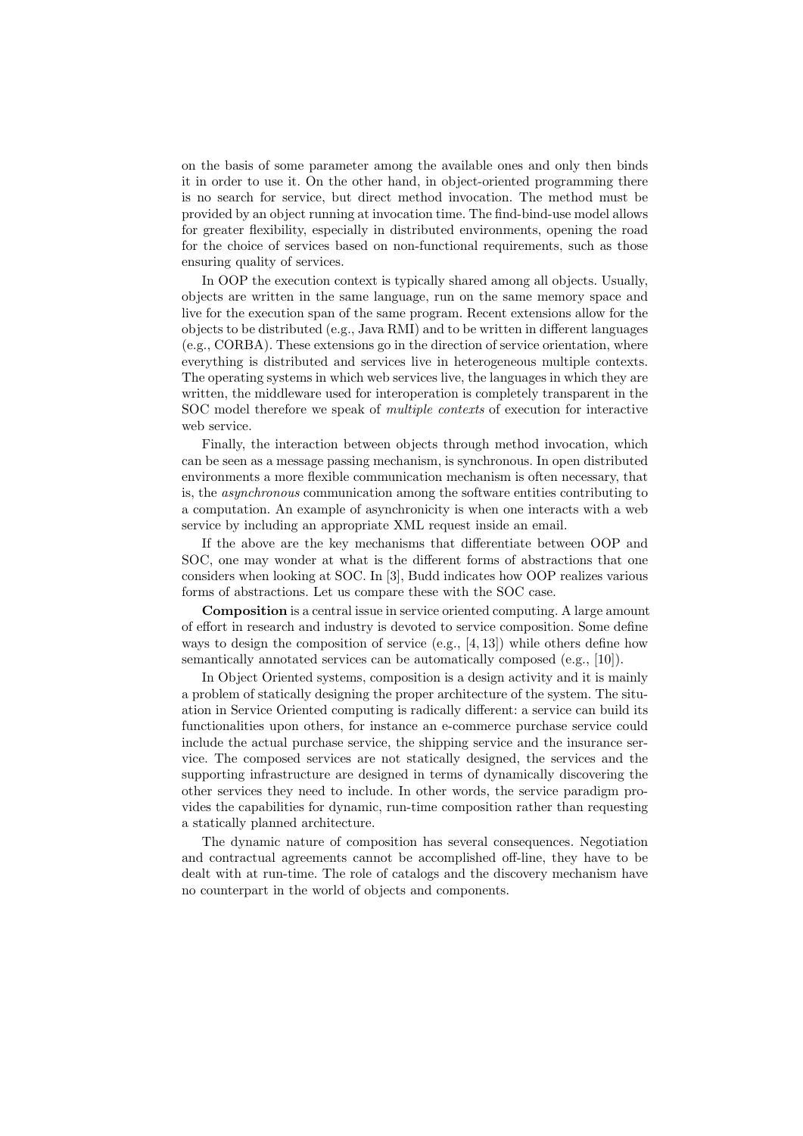on the basis of some parameter among the available ones and only then binds it in order to use it. On the other hand, in object-oriented programming there is no search for service, but direct method invocation. The method must be provided by an object running at invocation time. The find-bind-use model allows for greater flexibility, especially in distributed environments, opening the road for the choice of services based on non-functional requirements, such as those ensuring quality of services.

In OOP the execution context is typically shared among all objects. Usually, objects are written in the same language, run on the same memory space and live for the execution span of the same program. Recent extensions allow for the objects to be distributed (e.g., Java RMI) and to be written in different languages (e.g., CORBA). These extensions go in the direction of service orientation, where everything is distributed and services live in heterogeneous multiple contexts. The operating systems in which web services live, the languages in which they are written, the middleware used for interoperation is completely transparent in the SOC model therefore we speak of multiple contexts of execution for interactive web service.

Finally, the interaction between objects through method invocation, which can be seen as a message passing mechanism, is synchronous. In open distributed environments a more flexible communication mechanism is often necessary, that is, the asynchronous communication among the software entities contributing to a computation. An example of asynchronicity is when one interacts with a web service by including an appropriate XML request inside an email.

If the above are the key mechanisms that differentiate between OOP and SOC, one may wonder at what is the different forms of abstractions that one considers when looking at SOC. In [3], Budd indicates how OOP realizes various forms of abstractions. Let us compare these with the SOC case.

Composition is a central issue in service oriented computing. A large amount of effort in research and industry is devoted to service composition. Some define ways to design the composition of service  $(e.g., [4, 13])$  while others define how semantically annotated services can be automatically composed (e.g., [10]).

In Object Oriented systems, composition is a design activity and it is mainly a problem of statically designing the proper architecture of the system. The situation in Service Oriented computing is radically different: a service can build its functionalities upon others, for instance an e-commerce purchase service could include the actual purchase service, the shipping service and the insurance service. The composed services are not statically designed, the services and the supporting infrastructure are designed in terms of dynamically discovering the other services they need to include. In other words, the service paradigm provides the capabilities for dynamic, run-time composition rather than requesting a statically planned architecture.

The dynamic nature of composition has several consequences. Negotiation and contractual agreements cannot be accomplished off-line, they have to be dealt with at run-time. The role of catalogs and the discovery mechanism have no counterpart in the world of objects and components.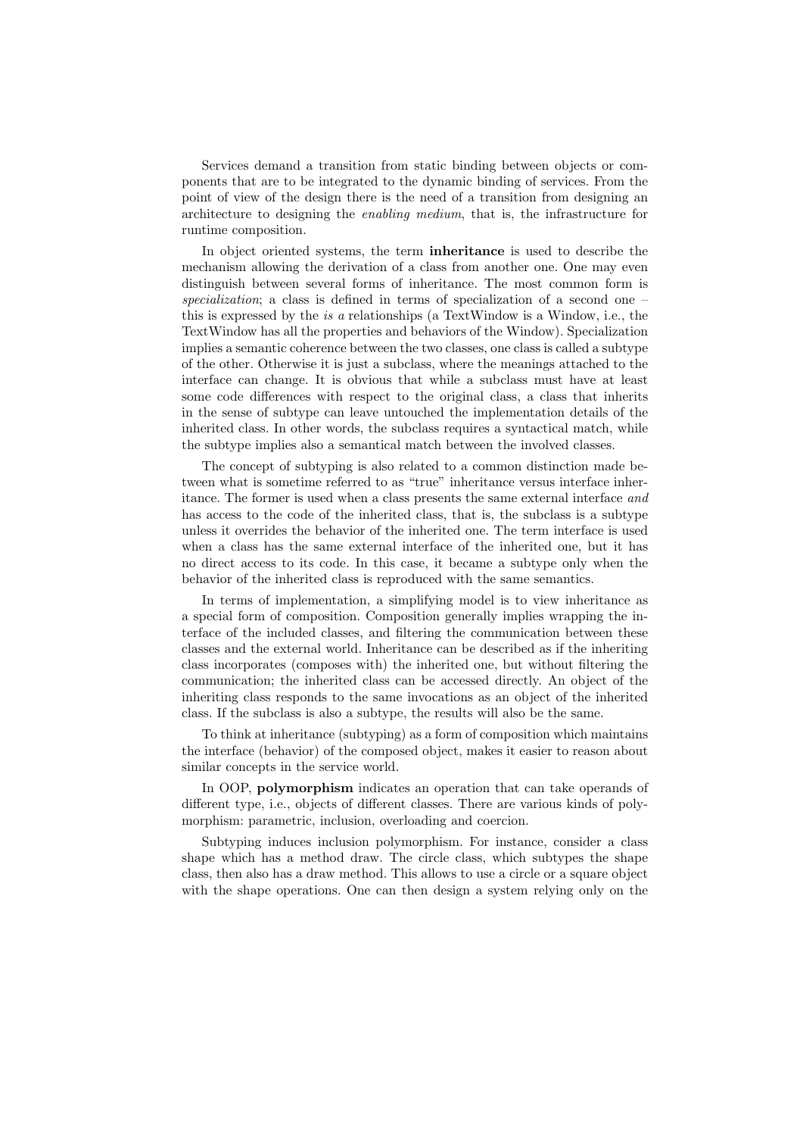Services demand a transition from static binding between objects or components that are to be integrated to the dynamic binding of services. From the point of view of the design there is the need of a transition from designing an architecture to designing the enabling medium, that is, the infrastructure for runtime composition.

In object oriented systems, the term inheritance is used to describe the mechanism allowing the derivation of a class from another one. One may even distinguish between several forms of inheritance. The most common form is specialization; a class is defined in terms of specialization of a second one – this is expressed by the is a relationships (a TextWindow is a Window, i.e., the TextWindow has all the properties and behaviors of the Window). Specialization implies a semantic coherence between the two classes, one class is called a subtype of the other. Otherwise it is just a subclass, where the meanings attached to the interface can change. It is obvious that while a subclass must have at least some code differences with respect to the original class, a class that inherits in the sense of subtype can leave untouched the implementation details of the inherited class. In other words, the subclass requires a syntactical match, while the subtype implies also a semantical match between the involved classes.

The concept of subtyping is also related to a common distinction made between what is sometime referred to as "true" inheritance versus interface inheritance. The former is used when a class presents the same external interface and has access to the code of the inherited class, that is, the subclass is a subtype unless it overrides the behavior of the inherited one. The term interface is used when a class has the same external interface of the inherited one, but it has no direct access to its code. In this case, it became a subtype only when the behavior of the inherited class is reproduced with the same semantics.

In terms of implementation, a simplifying model is to view inheritance as a special form of composition. Composition generally implies wrapping the interface of the included classes, and filtering the communication between these classes and the external world. Inheritance can be described as if the inheriting class incorporates (composes with) the inherited one, but without filtering the communication; the inherited class can be accessed directly. An object of the inheriting class responds to the same invocations as an object of the inherited class. If the subclass is also a subtype, the results will also be the same.

To think at inheritance (subtyping) as a form of composition which maintains the interface (behavior) of the composed object, makes it easier to reason about similar concepts in the service world.

In OOP, polymorphism indicates an operation that can take operands of different type, i.e., objects of different classes. There are various kinds of polymorphism: parametric, inclusion, overloading and coercion.

Subtyping induces inclusion polymorphism. For instance, consider a class shape which has a method draw. The circle class, which subtypes the shape class, then also has a draw method. This allows to use a circle or a square object with the shape operations. One can then design a system relying only on the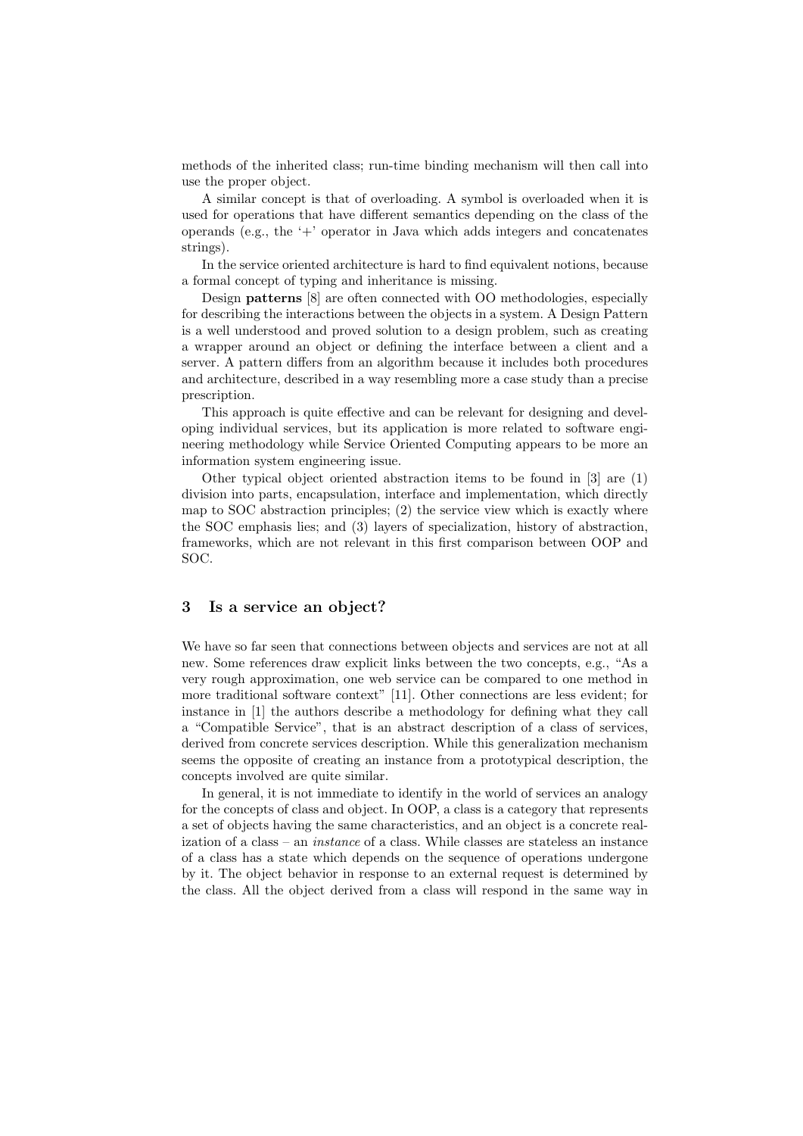methods of the inherited class; run-time binding mechanism will then call into use the proper object.

A similar concept is that of overloading. A symbol is overloaded when it is used for operations that have different semantics depending on the class of the operands (e.g., the  $+$  operator in Java which adds integers and concatenates strings).

In the service oriented architecture is hard to find equivalent notions, because a formal concept of typing and inheritance is missing.

Design patterns [8] are often connected with OO methodologies, especially for describing the interactions between the objects in a system. A Design Pattern is a well understood and proved solution to a design problem, such as creating a wrapper around an object or defining the interface between a client and a server. A pattern differs from an algorithm because it includes both procedures and architecture, described in a way resembling more a case study than a precise prescription.

This approach is quite effective and can be relevant for designing and developing individual services, but its application is more related to software engineering methodology while Service Oriented Computing appears to be more an information system engineering issue.

Other typical object oriented abstraction items to be found in [3] are (1) division into parts, encapsulation, interface and implementation, which directly map to SOC abstraction principles; (2) the service view which is exactly where the SOC emphasis lies; and (3) layers of specialization, history of abstraction, frameworks, which are not relevant in this first comparison between OOP and SOC.

#### 3 Is a service an object?

We have so far seen that connections between objects and services are not at all new. Some references draw explicit links between the two concepts, e.g., "As a very rough approximation, one web service can be compared to one method in more traditional software context" [11]. Other connections are less evident; for instance in [1] the authors describe a methodology for defining what they call a "Compatible Service", that is an abstract description of a class of services, derived from concrete services description. While this generalization mechanism seems the opposite of creating an instance from a prototypical description, the concepts involved are quite similar.

In general, it is not immediate to identify in the world of services an analogy for the concepts of class and object. In OOP, a class is a category that represents a set of objects having the same characteristics, and an object is a concrete realization of a class – an instance of a class. While classes are stateless an instance of a class has a state which depends on the sequence of operations undergone by it. The object behavior in response to an external request is determined by the class. All the object derived from a class will respond in the same way in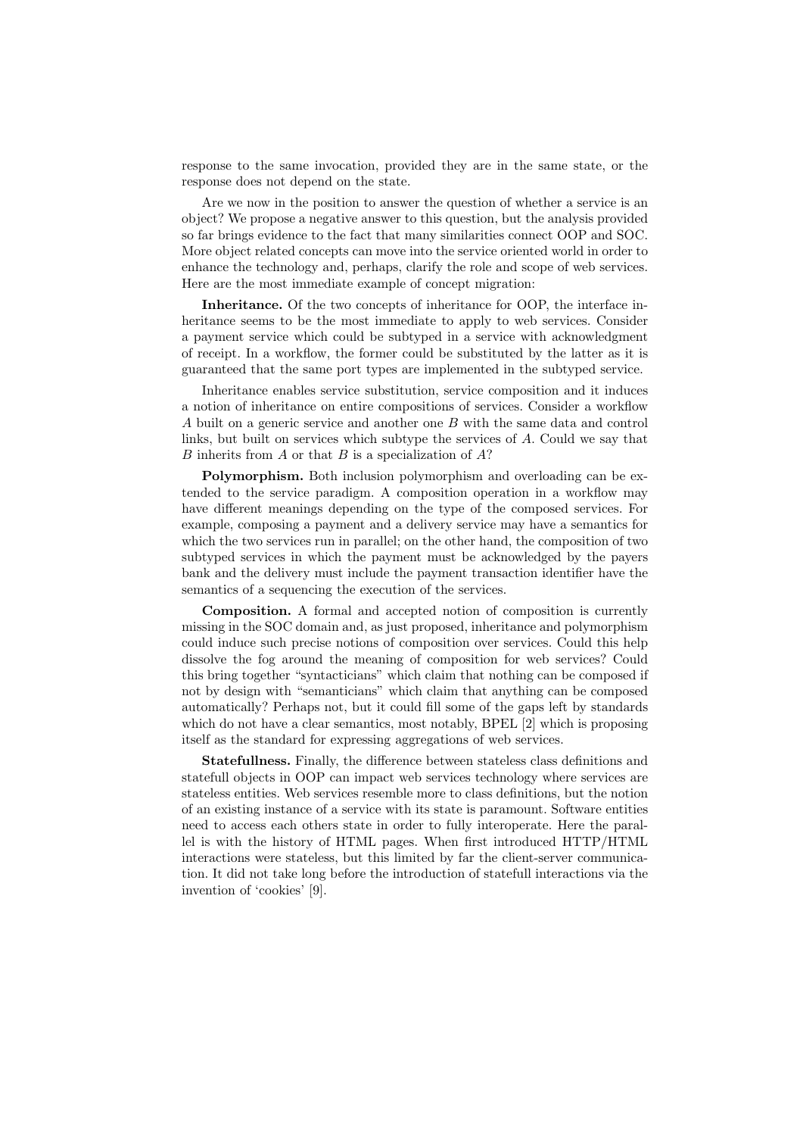response to the same invocation, provided they are in the same state, or the response does not depend on the state.

Are we now in the position to answer the question of whether a service is an object? We propose a negative answer to this question, but the analysis provided so far brings evidence to the fact that many similarities connect OOP and SOC. More object related concepts can move into the service oriented world in order to enhance the technology and, perhaps, clarify the role and scope of web services. Here are the most immediate example of concept migration:

Inheritance. Of the two concepts of inheritance for OOP, the interface inheritance seems to be the most immediate to apply to web services. Consider a payment service which could be subtyped in a service with acknowledgment of receipt. In a workflow, the former could be substituted by the latter as it is guaranteed that the same port types are implemented in the subtyped service.

Inheritance enables service substitution, service composition and it induces a notion of inheritance on entire compositions of services. Consider a workflow A built on a generic service and another one B with the same data and control links, but built on services which subtype the services of A. Could we say that  $B$  inherits from  $A$  or that  $B$  is a specialization of  $A$ ?

Polymorphism. Both inclusion polymorphism and overloading can be extended to the service paradigm. A composition operation in a workflow may have different meanings depending on the type of the composed services. For example, composing a payment and a delivery service may have a semantics for which the two services run in parallel; on the other hand, the composition of two subtyped services in which the payment must be acknowledged by the payers bank and the delivery must include the payment transaction identifier have the semantics of a sequencing the execution of the services.

Composition. A formal and accepted notion of composition is currently missing in the SOC domain and, as just proposed, inheritance and polymorphism could induce such precise notions of composition over services. Could this help dissolve the fog around the meaning of composition for web services? Could this bring together "syntacticians" which claim that nothing can be composed if not by design with "semanticians" which claim that anything can be composed automatically? Perhaps not, but it could fill some of the gaps left by standards which do not have a clear semantics, most notably, BPEL [2] which is proposing itself as the standard for expressing aggregations of web services.

Statefullness. Finally, the difference between stateless class definitions and statefull objects in OOP can impact web services technology where services are stateless entities. Web services resemble more to class definitions, but the notion of an existing instance of a service with its state is paramount. Software entities need to access each others state in order to fully interoperate. Here the parallel is with the history of HTML pages. When first introduced HTTP/HTML interactions were stateless, but this limited by far the client-server communication. It did not take long before the introduction of statefull interactions via the invention of 'cookies' [9].